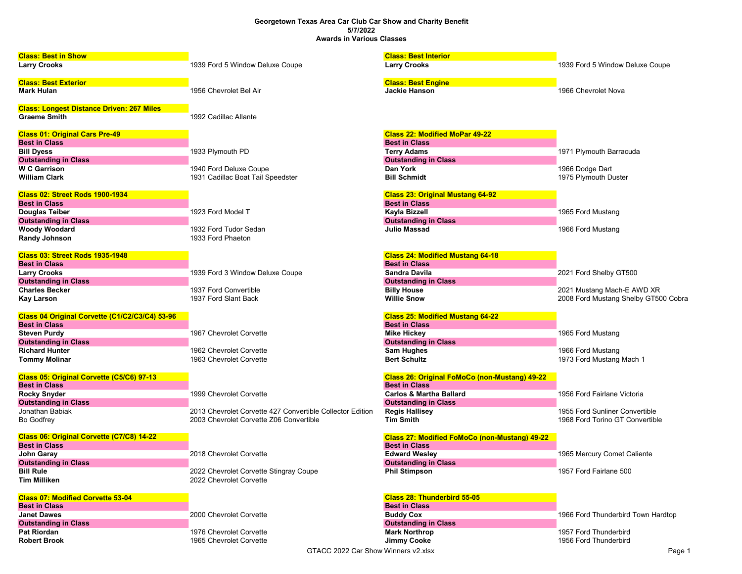## Georgetown Texas Area Car Club Car Show and Charity Benefit 5/7/2022 Awards in Various Classes

| <b>Class: Best in Show</b>                       |                                                           | <b>Class: Best Interior</b>                   |                                      |  |
|--------------------------------------------------|-----------------------------------------------------------|-----------------------------------------------|--------------------------------------|--|
| <b>Larry Crooks</b>                              | 1939 Ford 5 Window Deluxe Coupe                           | <b>Larry Crooks</b>                           | 1939 Ford 5 Window Deluxe Coupe      |  |
|                                                  |                                                           |                                               |                                      |  |
| <b>Class: Best Exterior</b>                      |                                                           | <b>Class: Best Engine</b>                     |                                      |  |
| <b>Mark Hulan</b>                                | 1956 Chevrolet Bel Air                                    | <b>Jackie Hanson</b>                          | 1966 Chevrolet Nova                  |  |
|                                                  |                                                           |                                               |                                      |  |
| <b>Class: Longest Distance Driven: 267 Miles</b> |                                                           |                                               |                                      |  |
| <b>Graeme Smith</b>                              | 1992 Cadillac Allante                                     |                                               |                                      |  |
| <b>Class 01: Original Cars Pre-49</b>            |                                                           | <b>Class 22: Modified MoPar 49-22</b>         |                                      |  |
| <b>Best in Class</b>                             |                                                           | <b>Best in Class</b>                          |                                      |  |
| <b>Bill Dyess</b>                                | 1933 Plymouth PD                                          | <b>Terry Adams</b>                            | 1971 Plymouth Barracuda              |  |
| <b>Outstanding in Class</b>                      |                                                           | <b>Outstanding in Class</b>                   |                                      |  |
| <b>WC</b> Garrison                               | 1940 Ford Deluxe Coupe                                    | Dan York                                      | 1966 Dodge Dart                      |  |
| <b>William Clark</b>                             | 1931 Cadillac Boat Tail Speedster                         | <b>Bill Schmidt</b>                           | 1975 Plymouth Duster                 |  |
|                                                  |                                                           |                                               |                                      |  |
| <b>Class 02: Street Rods 1900-1934</b>           |                                                           | <b>Class 23: Original Mustang 64-92</b>       |                                      |  |
| <b>Best in Class</b>                             |                                                           | <b>Best in Class</b>                          |                                      |  |
| <b>Douglas Teiber</b>                            | 1923 Ford Model T                                         | Kayla Bizzell                                 | 1965 Ford Mustang                    |  |
| <b>Outstanding in Class</b>                      |                                                           | <b>Outstanding in Class</b>                   |                                      |  |
| <b>Woody Woodard</b>                             | 1932 Ford Tudor Sedan                                     | Julio Massad                                  | 1966 Ford Mustang                    |  |
| <b>Randy Johnson</b>                             | 1933 Ford Phaeton                                         |                                               |                                      |  |
|                                                  |                                                           |                                               |                                      |  |
| <b>Class 03: Street Rods 1935-1948</b>           |                                                           | <b>Class 24: Modified Mustang 64-18</b>       |                                      |  |
| <b>Best in Class</b>                             |                                                           | <b>Best in Class</b>                          |                                      |  |
| <b>Larry Crooks</b>                              | 1939 Ford 3 Window Deluxe Coupe                           | Sandra Davila                                 | 2021 Ford Shelby GT500               |  |
| <b>Outstanding in Class</b>                      |                                                           | <b>Outstanding in Class</b>                   |                                      |  |
| <b>Charles Becker</b>                            | 1937 Ford Convertible                                     | <b>Billy House</b>                            | 2021 Mustang Mach-E AWD XR           |  |
| <b>Kay Larson</b>                                | 1937 Ford Slant Back                                      | <b>Willie Snow</b>                            | 2008 Ford Mustang Shelby GT500 Cobra |  |
| Class 04 Original Corvette (C1/C2/C3/C4) 53-96   |                                                           | <b>Class 25: Modified Mustang 64-22</b>       |                                      |  |
| <b>Best in Class</b>                             |                                                           | <b>Best in Class</b>                          |                                      |  |
| <b>Steven Purdy</b>                              | 1967 Chevrolet Corvette                                   | <b>Mike Hickey</b>                            | 1965 Ford Mustang                    |  |
| <b>Outstanding in Class</b>                      |                                                           | <b>Outstanding in Class</b>                   |                                      |  |
| <b>Richard Hunter</b>                            | 1962 Chevrolet Corvette                                   | Sam Hughes                                    | 1966 Ford Mustang                    |  |
| <b>Tommy Molinar</b>                             | 1963 Chevrolet Corvette                                   | <b>Bert Schultz</b>                           | 1973 Ford Mustang Mach 1             |  |
|                                                  |                                                           |                                               |                                      |  |
| Class 05: Original Corvette (C5/C6) 97-13        |                                                           | Class 26: Original FoMoCo (non-Mustang) 49-22 |                                      |  |
| <b>Best in Class</b>                             |                                                           | <b>Best in Class</b>                          |                                      |  |
| <b>Rocky Snyder</b>                              | 1999 Chevrolet Corvette                                   | <b>Carlos &amp; Martha Ballard</b>            | 1956 Ford Fairlane Victoria          |  |
| <b>Outstanding in Class</b>                      |                                                           | <b>Outstanding in Class</b>                   |                                      |  |
| Jonathan Babiak                                  | 2013 Chevrolet Corvette 427 Convertible Collector Edition | <b>Regis Hallisey</b>                         | 1955 Ford Sunliner Convertible       |  |
| <b>Bo Godfrey</b>                                | 2003 Chevrolet Corvette Z06 Convertible                   | <b>Tim Smith</b>                              | 1968 Ford Torino GT Convertible      |  |
| Class 06: Original Corvette (C7/C8) 14-22        |                                                           | Class 27: Modified FoMoCo (non-Mustang) 49-22 |                                      |  |
| <b>Best in Class</b>                             |                                                           | <b>Best in Class</b>                          |                                      |  |
| John Garay                                       | 2018 Chevrolet Corvette                                   | <b>Edward Wesley</b>                          | 1965 Mercury Comet Caliente          |  |
| <b>Outstanding in Class</b>                      |                                                           | <b>Outstanding in Class</b>                   |                                      |  |
| <b>Bill Rule</b>                                 | 2022 Chevrolet Corvette Stingray Coupe                    | <b>Phil Stimpson</b>                          | 1957 Ford Fairlane 500               |  |
| <b>Tim Milliken</b>                              | 2022 Chevrolet Corvette                                   |                                               |                                      |  |
|                                                  |                                                           |                                               |                                      |  |
| <b>Class 07: Modified Corvette 53-04</b>         |                                                           | Class 28: Thunderbird 55-05                   |                                      |  |
| <b>Best in Class</b>                             |                                                           | <b>Best in Class</b>                          |                                      |  |
| <b>Janet Dawes</b>                               | 2000 Chevrolet Corvette                                   | <b>Buddy Cox</b>                              | 1966 Ford Thunderbird Town Hardtop   |  |
| <b>Outstanding in Class</b>                      |                                                           | <b>Outstanding in Class</b>                   |                                      |  |
| <b>Pat Riordan</b>                               | 1976 Chevrolet Corvette                                   | <b>Mark Northrop</b>                          | 1957 Ford Thunderbird                |  |
| <b>Robert Brook</b>                              | 1965 Chevrolet Corvette                                   | <b>Jimmy Cooke</b>                            | 1956 Ford Thunderbird                |  |
| GTACC 2022 Car Show Winners v2.xlsx<br>Page 1    |                                                           |                                               |                                      |  |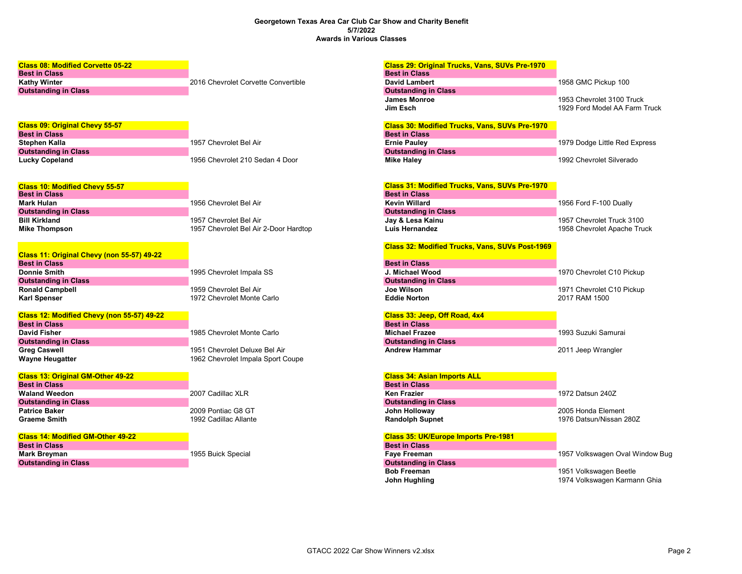## Georgetown Texas Area Car Club Car Show and Charity Benefit 5/7/2022 Awards in Various Classes

| <b>Class 08: Modified Corvette 05-22</b>      |                                                                    | <b>Class 29: Original Trucks, Vans, SUVs Pre-1970</b>  |                                 |
|-----------------------------------------------|--------------------------------------------------------------------|--------------------------------------------------------|---------------------------------|
| <b>Best in Class</b>                          |                                                                    | <b>Best in Class</b>                                   |                                 |
| <b>Kathy Winter</b>                           | 2016 Chevrolet Corvette Convertible                                | <b>David Lambert</b>                                   | 1958 GMC Pickup 100             |
| <b>Outstanding in Class</b>                   |                                                                    | <b>Outstanding in Class</b>                            |                                 |
|                                               |                                                                    | <b>James Monroe</b>                                    | 1953 Chevrolet 3100 Truck       |
|                                               |                                                                    | Jim Esch                                               | 1929 Ford Model AA Farm Truck   |
| <b>Class 09: Original Chevy 55-57</b>         |                                                                    | <b>Class 30: Modified Trucks, Vans, SUVs Pre-1970</b>  |                                 |
| <b>Best in Class</b>                          |                                                                    | <b>Best in Class</b>                                   |                                 |
| Stephen Kalla                                 | 1957 Chevrolet Bel Air                                             | <b>Ernie Pauley</b>                                    | 1979 Dodge Little Red Express   |
| <b>Outstanding in Class</b>                   |                                                                    | <b>Outstanding in Class</b>                            |                                 |
| <b>Lucky Copeland</b>                         | 1956 Chevrolet 210 Sedan 4 Door                                    | <b>Mike Haley</b>                                      | 1992 Chevrolet Silverado        |
| <b>Class 10: Modified Chevy 55-57</b>         |                                                                    | Class 31: Modified Trucks, Vans, SUVs Pre-1970         |                                 |
| <b>Best in Class</b>                          |                                                                    | <b>Best in Class</b>                                   |                                 |
| <b>Mark Hulan</b>                             | 1956 Chevrolet Bel Air                                             | <b>Kevin Willard</b>                                   | 1956 Ford F-100 Dually          |
| <b>Outstanding in Class</b>                   |                                                                    | <b>Outstanding in Class</b>                            |                                 |
| <b>Bill Kirkland</b>                          | 1957 Chevrolet Bel Air                                             | Jay & Lesa Kainu                                       | 1957 Chevrolet Truck 3100       |
| <b>Mike Thompson</b>                          | 1957 Chevrolet Bel Air 2-Door Hardtop                              | <b>Luis Hernandez</b>                                  | 1958 Chevrolet Apache Truck     |
|                                               |                                                                    | <b>Class 32: Modified Trucks, Vans, SUVs Post-1969</b> |                                 |
| Class 11: Original Chevy (non 55-57) 49-22    |                                                                    |                                                        |                                 |
| <b>Best in Class</b>                          |                                                                    | <b>Best in Class</b>                                   |                                 |
| Donnie Smith                                  | 1995 Chevrolet Impala SS                                           | J. Michael Wood                                        | 1970 Chevrolet C10 Pickup       |
| <b>Outstanding in Class</b>                   |                                                                    | <b>Outstanding in Class</b>                            |                                 |
| <b>Ronald Campbell</b>                        | 1959 Chevrolet Bel Air                                             | Joe Wilson                                             | 1971 Chevrolet C10 Pickup       |
| <b>Karl Spenser</b>                           | 1972 Chevrolet Monte Carlo                                         | <b>Eddie Norton</b>                                    | 2017 RAM 1500                   |
| Class 12: Modified Chevy (non 55-57) 49-22    |                                                                    | Class 33: Jeep, Off Road, 4x4                          |                                 |
| <b>Best in Class</b>                          |                                                                    | <b>Best in Class</b>                                   |                                 |
| <b>David Fisher</b>                           | 1985 Chevrolet Monte Carlo                                         | <b>Michael Frazee</b>                                  | 1993 Suzuki Samurai             |
| <b>Outstanding in Class</b>                   |                                                                    | <b>Outstanding in Class</b>                            |                                 |
| <b>Greg Caswell</b><br><b>Wayne Heugatter</b> | 1951 Chevrolet Deluxe Bel Air<br>1962 Chevrolet Impala Sport Coupe | <b>Andrew Hammar</b>                                   | 2011 Jeep Wrangler              |
| <b>Class 13: Original GM-Other 49-22</b>      |                                                                    | <b>Class 34: Asian Imports ALL</b>                     |                                 |
| <b>Best in Class</b>                          |                                                                    | <b>Best in Class</b>                                   |                                 |
| <b>Waland Weedon</b>                          | 2007 Cadillac XLR                                                  | <b>Ken Frazier</b>                                     | 1972 Datsun 240Z                |
| <b>Outstanding in Class</b>                   |                                                                    | <b>Outstanding in Class</b>                            |                                 |
| <b>Patrice Baker</b>                          | 2009 Pontiac G8 GT                                                 | John Holloway                                          | 2005 Honda Element              |
| <b>Graeme Smith</b>                           | 1992 Cadillac Allante                                              | <b>Randolph Supnet</b>                                 | 1976 Datsun/Nissan 280Z         |
| <b>Class 14: Modified GM-Other 49-22</b>      |                                                                    | <b>Class 35: UK/Europe Imports Pre-1981</b>            |                                 |
| <b>Best in Class</b>                          |                                                                    | <b>Best in Class</b>                                   |                                 |
| <b>Mark Breyman</b>                           | 1955 Buick Special                                                 | <b>Faye Freeman</b>                                    | 1957 Volkswagen Oval Window Bug |
| <b>Outstanding in Class</b>                   |                                                                    | <b>Outstanding in Class</b>                            |                                 |
|                                               |                                                                    | <b>Bob Freeman</b>                                     | 1951 Volkswagen Beetle          |
|                                               |                                                                    | John Hughling                                          | 1974 Volkswagen Karmann Ghia    |